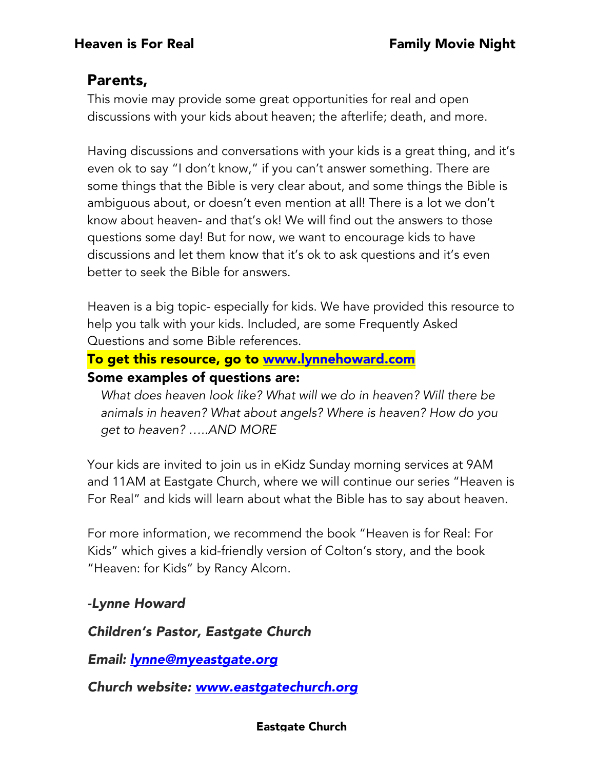# Parents,

This movie may provide some great opportunities for real and open discussions with your kids about heaven; the afterlife; death, and more.

Having discussions and conversations with your kids is a great thing, and it's even ok to say "I don't know," if you can't answer something. There are some things that the Bible is very clear about, and some things the Bible is ambiguous about, or doesn't even mention at all! There is a lot we don't know about heaven- and that's ok! We will find out the answers to those questions some day! But for now, we want to encourage kids to have discussions and let them know that it's ok to ask questions and it's even better to seek the Bible for answers.

Heaven is a big topic- especially for kids. We have provided this resource to help you talk with your kids. Included, are some Frequently Asked Questions and some Bible references.

# To get this resource, go to www.lynnehoward.com Some examples of questions are:

*What does heaven look like? What will we do in heaven? Will there be animals in heaven? What about angels? Where is heaven? How do you get to heaven? …..AND MORE*

Your kids are invited to join us in eKidz Sunday morning services at 9AM and 11AM at Eastgate Church, where we will continue our series "Heaven is For Real" and kids will learn about what the Bible has to say about heaven.

For more information, we recommend the book "Heaven is for Real: For Kids" which gives a kid-friendly version of Colton's story, and the book "Heaven: for Kids" by Rancy Alcorn.

# *-Lynne Howard*

*Children's Pastor, Eastgate Church*

*Email: lynne@myeastgate.org*

*Church website: www.eastgatechurch.org*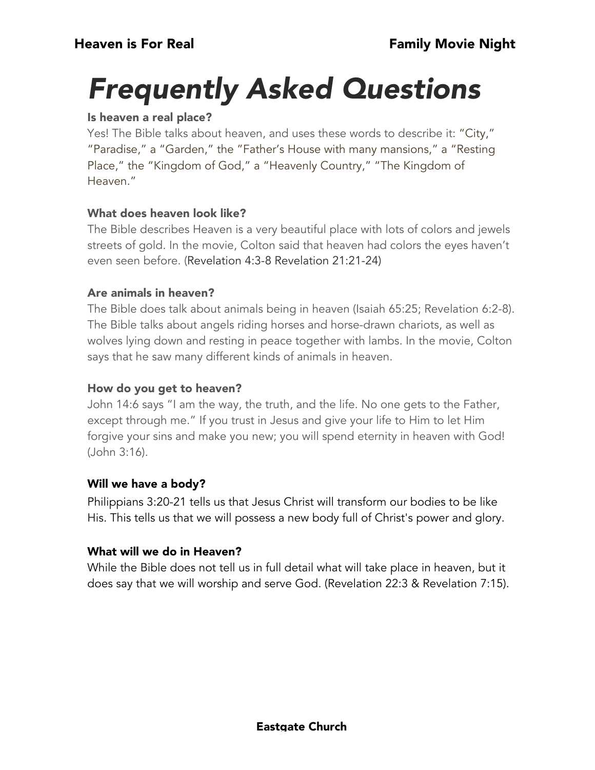# *Frequently Asked Questions*

#### Is heaven a real place?

Yes! The Bible talks about heaven, and uses these words to describe it: "City," "Paradise," a "Garden," the "Father's House with many mansions," a "Resting Place," the "Kingdom of God," a "Heavenly Country," "The Kingdom of Heaven."

#### What does heaven look like?

The Bible describes Heaven is a very beautiful place with lots of colors and jewels streets of gold. In the movie, Colton said that heaven had colors the eyes haven't even seen before. (Revelation 4:3-8 Revelation 21:21-24)

#### Are animals in heaven?

The Bible does talk about animals being in heaven (Isaiah 65:25; Revelation 6:2-8). The Bible talks about angels riding horses and horse-drawn chariots, as well as wolves lying down and resting in peace together with lambs. In the movie, Colton says that he saw many different kinds of animals in heaven.

#### How do you get to heaven?

John 14:6 says "I am the way, the truth, and the life. No one gets to the Father, except through me." If you trust in Jesus and give your life to Him to let Him forgive your sins and make you new; you will spend eternity in heaven with God! (John 3:16).

#### Will we have a body?

Philippians 3:20-21 tells us that Jesus Christ will transform our bodies to be like His. This tells us that we will possess a new body full of Christ's power and glory.

#### What will we do in Heaven?

While the Bible does not tell us in full detail what will take place in heaven, but it does say that we will worship and serve God. (Revelation 22:3 & Revelation 7:15).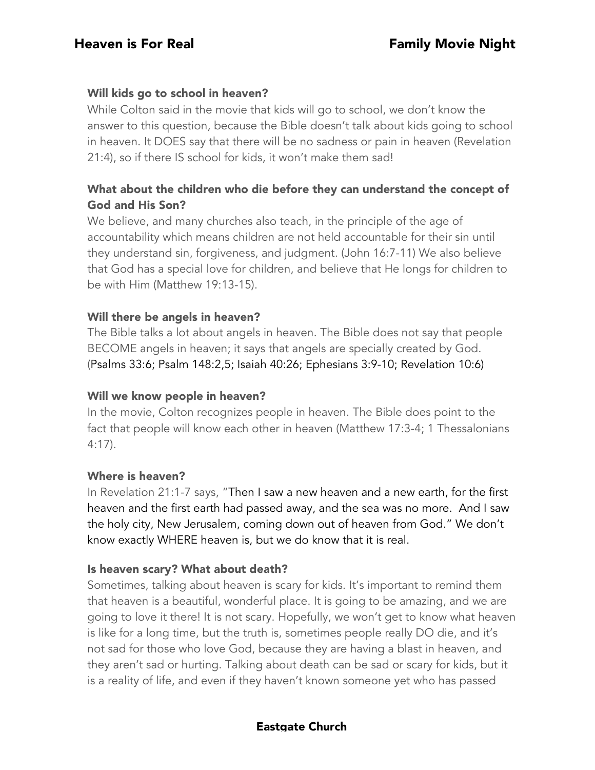#### Will kids go to school in heaven?

While Colton said in the movie that kids will go to school, we don't know the answer to this question, because the Bible doesn't talk about kids going to school in heaven. It DOES say that there will be no sadness or pain in heaven (Revelation 21:4), so if there IS school for kids, it won't make them sad!

### What about the children who die before they can understand the concept of God and His Son?

We believe, and many churches also teach, in the principle of the age of accountability which means children are not held accountable for their sin until they understand sin, forgiveness, and judgment. (John 16:7-11) We also believe that God has a special love for children, and believe that He longs for children to be with Him (Matthew 19:13-15).

#### Will there be angels in heaven?

The Bible talks a lot about angels in heaven. The Bible does not say that people BECOME angels in heaven; it says that angels are specially created by God. (Psalms 33:6; Psalm 148:2,5; Isaiah 40:26; Ephesians 3:9-10; Revelation 10:6)

#### Will we know people in heaven?

In the movie, Colton recognizes people in heaven. The Bible does point to the fact that people will know each other in heaven (Matthew 17:3-4; 1 Thessalonians 4:17).

#### Where is heaven?

In Revelation 21:1-7 says, "Then I saw a new heaven and a new earth, for the first heaven and the first earth had passed away, and the sea was no more. And I saw the holy city, New Jerusalem, coming down out of heaven from God." We don't know exactly WHERE heaven is, but we do know that it is real.

#### Is heaven scary? What about death?

Sometimes, talking about heaven is scary for kids. It's important to remind them that heaven is a beautiful, wonderful place. It is going to be amazing, and we are going to love it there! It is not scary. Hopefully, we won't get to know what heaven is like for a long time, but the truth is, sometimes people really DO die, and it's not sad for those who love God, because they are having a blast in heaven, and they aren't sad or hurting. Talking about death can be sad or scary for kids, but it is a reality of life, and even if they haven't known someone yet who has passed